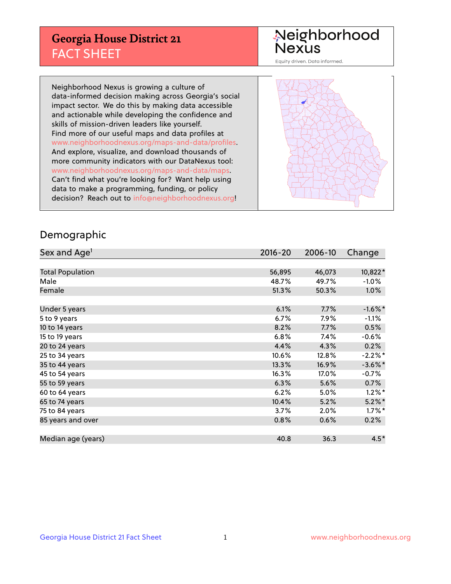## **Georgia House District 21** FACT SHEET

# Neighborhood<br>Nexus

Equity driven. Data informed.

Neighborhood Nexus is growing a culture of data-informed decision making across Georgia's social impact sector. We do this by making data accessible and actionable while developing the confidence and skills of mission-driven leaders like yourself. Find more of our useful maps and data profiles at www.neighborhoodnexus.org/maps-and-data/profiles. And explore, visualize, and download thousands of more community indicators with our DataNexus tool: www.neighborhoodnexus.org/maps-and-data/maps. Can't find what you're looking for? Want help using data to make a programming, funding, or policy decision? Reach out to [info@neighborhoodnexus.org!](mailto:info@neighborhoodnexus.org)



#### Demographic

| Sex and Age <sup>1</sup> | $2016 - 20$ | 2006-10 | Change     |
|--------------------------|-------------|---------|------------|
|                          |             |         |            |
| <b>Total Population</b>  | 56,895      | 46,073  | 10,822*    |
| Male                     | 48.7%       | 49.7%   | $-1.0\%$   |
| Female                   | 51.3%       | 50.3%   | $1.0\%$    |
|                          |             |         |            |
| Under 5 years            | 6.1%        | 7.7%    | $-1.6\%$ * |
| 5 to 9 years             | 6.7%        | $7.9\%$ | $-1.1%$    |
| 10 to 14 years           | 8.2%        | 7.7%    | 0.5%       |
| 15 to 19 years           | 6.8%        | 7.4%    | $-0.6%$    |
| 20 to 24 years           | 4.4%        | 4.3%    | 0.2%       |
| 25 to 34 years           | 10.6%       | 12.8%   | $-2.2\%$ * |
| 35 to 44 years           | 13.3%       | 16.9%   | $-3.6\%$ * |
| 45 to 54 years           | 16.3%       | 17.0%   | $-0.7%$    |
| 55 to 59 years           | 6.3%        | 5.6%    | 0.7%       |
| 60 to 64 years           | 6.2%        | 5.0%    | $1.2\%$ *  |
| 65 to 74 years           | 10.4%       | 5.2%    | $5.2\%$ *  |
| 75 to 84 years           | 3.7%        | 2.0%    | $1.7\%$ *  |
| 85 years and over        | 0.8%        | 0.6%    | 0.2%       |
|                          |             |         |            |
| Median age (years)       | 40.8        | 36.3    | $4.5*$     |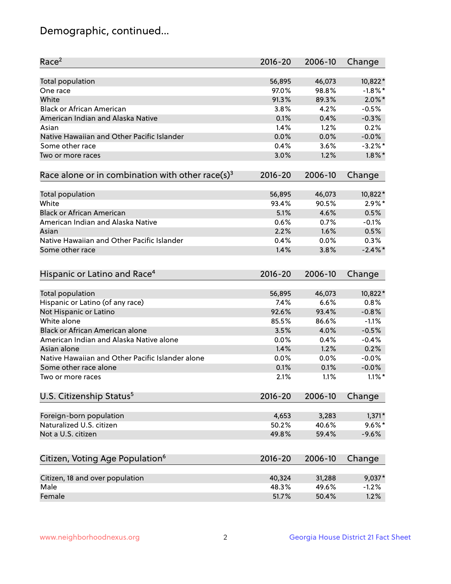## Demographic, continued...

| Race <sup>2</sup>                                            | $2016 - 20$ | 2006-10 | Change     |
|--------------------------------------------------------------|-------------|---------|------------|
| <b>Total population</b>                                      | 56,895      | 46,073  | 10,822*    |
| One race                                                     | 97.0%       | 98.8%   | $-1.8\%$ * |
| White                                                        | 91.3%       | 89.3%   | $2.0\%$ *  |
| <b>Black or African American</b>                             | 3.8%        | 4.2%    | $-0.5%$    |
| American Indian and Alaska Native                            | 0.1%        | 0.4%    | $-0.3%$    |
| Asian                                                        | 1.4%        | 1.2%    | 0.2%       |
| Native Hawaiian and Other Pacific Islander                   | 0.0%        | 0.0%    | $-0.0%$    |
| Some other race                                              | 0.4%        | 3.6%    | $-3.2\%$ * |
| Two or more races                                            | 3.0%        | 1.2%    | $1.8\%$ *  |
| Race alone or in combination with other race(s) <sup>3</sup> | $2016 - 20$ | 2006-10 | Change     |
| Total population                                             | 56,895      | 46,073  | 10,822*    |
| White                                                        | 93.4%       | 90.5%   | $2.9\%$ *  |
| <b>Black or African American</b>                             | 5.1%        | 4.6%    | 0.5%       |
| American Indian and Alaska Native                            | 0.6%        | 0.7%    | $-0.1%$    |
| Asian                                                        | 2.2%        | 1.6%    | 0.5%       |
| Native Hawaiian and Other Pacific Islander                   | 0.4%        | 0.0%    | 0.3%       |
| Some other race                                              | 1.4%        | 3.8%    | $-2.4\%$   |
| Hispanic or Latino and Race <sup>4</sup>                     | $2016 - 20$ | 2006-10 | Change     |
| Total population                                             | 56,895      | 46,073  | 10,822*    |
| Hispanic or Latino (of any race)                             | 7.4%        | 6.6%    | 0.8%       |
| Not Hispanic or Latino                                       | 92.6%       | 93.4%   | $-0.8%$    |
| White alone                                                  | 85.5%       | 86.6%   | $-1.1%$    |
| Black or African American alone                              | 3.5%        | 4.0%    | $-0.5%$    |
| American Indian and Alaska Native alone                      | 0.0%        | 0.4%    | $-0.4%$    |
| Asian alone                                                  | 1.4%        | 1.2%    | 0.2%       |
| Native Hawaiian and Other Pacific Islander alone             | 0.0%        | 0.0%    | $-0.0%$    |
| Some other race alone                                        | 0.1%        | 0.1%    | $-0.0%$    |
| Two or more races                                            | 2.1%        | 1.1%    | $1.1\%$ *  |
| U.S. Citizenship Status <sup>5</sup>                         | $2016 - 20$ | 2006-10 | Change     |
|                                                              |             |         |            |
| Foreign-born population                                      | 4,653       | 3,283   | $1,371*$   |
| Naturalized U.S. citizen                                     | 50.2%       | 40.6%   | $9.6\%$ *  |
| Not a U.S. citizen                                           | 49.8%       | 59.4%   | $-9.6%$    |
| Citizen, Voting Age Population <sup>6</sup>                  | $2016 - 20$ | 2006-10 | Change     |
| Citizen, 18 and over population                              | 40,324      | 31,288  | 9,037*     |
| Male                                                         | 48.3%       | 49.6%   | $-1.2%$    |
| Female                                                       | 51.7%       | 50.4%   | 1.2%       |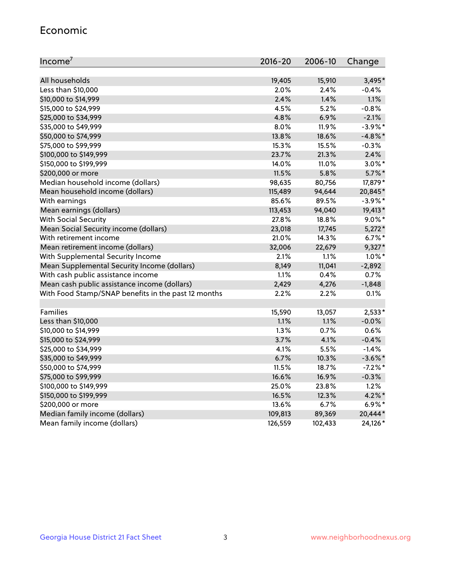#### Economic

| Income <sup>7</sup>                                 | 2016-20 | 2006-10 | Change     |
|-----------------------------------------------------|---------|---------|------------|
|                                                     |         |         |            |
| All households                                      | 19,405  | 15,910  | 3,495*     |
| Less than \$10,000                                  | 2.0%    | 2.4%    | $-0.4%$    |
| \$10,000 to \$14,999                                | 2.4%    | 1.4%    | 1.1%       |
| \$15,000 to \$24,999                                | 4.5%    | 5.2%    | $-0.8%$    |
| \$25,000 to \$34,999                                | 4.8%    | 6.9%    | $-2.1%$    |
| \$35,000 to \$49,999                                | 8.0%    | 11.9%   | $-3.9\%$ * |
| \$50,000 to \$74,999                                | 13.8%   | 18.6%   | $-4.8\%$ * |
| \$75,000 to \$99,999                                | 15.3%   | 15.5%   | $-0.3%$    |
| \$100,000 to \$149,999                              | 23.7%   | 21.3%   | 2.4%       |
| \$150,000 to \$199,999                              | 14.0%   | 11.0%   | $3.0\%$ *  |
| \$200,000 or more                                   | 11.5%   | 5.8%    | $5.7\%$ *  |
| Median household income (dollars)                   | 98,635  | 80,756  | 17,879*    |
| Mean household income (dollars)                     | 115,489 | 94,644  | 20,845*    |
| With earnings                                       | 85.6%   | 89.5%   | $-3.9\%$ * |
| Mean earnings (dollars)                             | 113,453 | 94,040  | 19,413*    |
| <b>With Social Security</b>                         | 27.8%   | 18.8%   | $9.0\%$ *  |
| Mean Social Security income (dollars)               | 23,018  | 17,745  | $5,272*$   |
| With retirement income                              | 21.0%   | 14.3%   | $6.7\%$ *  |
| Mean retirement income (dollars)                    | 32,006  | 22,679  | $9,327*$   |
| With Supplemental Security Income                   | 2.1%    | 1.1%    | $1.0\%$ *  |
| Mean Supplemental Security Income (dollars)         | 8,149   | 11,041  | $-2,892$   |
| With cash public assistance income                  | 1.1%    | 0.4%    | 0.7%       |
| Mean cash public assistance income (dollars)        | 2,429   | 4,276   | $-1,848$   |
| With Food Stamp/SNAP benefits in the past 12 months | 2.2%    | 2.2%    | 0.1%       |
|                                                     |         |         |            |
| Families                                            | 15,590  | 13,057  | $2,533*$   |
| Less than \$10,000                                  | 1.1%    | 1.1%    | $-0.0%$    |
| \$10,000 to \$14,999                                | 1.3%    | 0.7%    | 0.6%       |
| \$15,000 to \$24,999                                | 3.7%    | 4.1%    | $-0.4%$    |
| \$25,000 to \$34,999                                | 4.1%    | 5.5%    | $-1.4%$    |
| \$35,000 to \$49,999                                | 6.7%    | 10.3%   | $-3.6\%$ * |
| \$50,000 to \$74,999                                | 11.5%   | 18.7%   | $-7.2%$ *  |
| \$75,000 to \$99,999                                | 16.6%   | 16.9%   | $-0.3%$    |
| \$100,000 to \$149,999                              | 25.0%   | 23.8%   | 1.2%       |
| \$150,000 to \$199,999                              | 16.5%   | 12.3%   | $4.2\%$ *  |
| \$200,000 or more                                   | 13.6%   | 6.7%    | $6.9\%*$   |
| Median family income (dollars)                      | 109,813 | 89,369  | 20,444*    |
| Mean family income (dollars)                        | 126,559 | 102,433 | 24,126*    |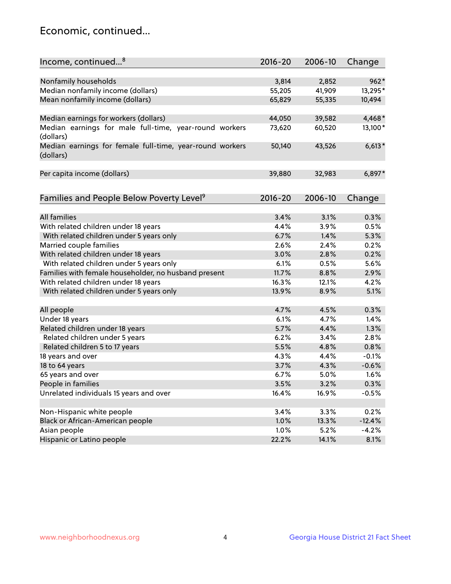## Economic, continued...

| Income, continued <sup>8</sup>                                        | $2016 - 20$ | 2006-10 | Change   |
|-----------------------------------------------------------------------|-------------|---------|----------|
|                                                                       |             |         |          |
| Nonfamily households                                                  | 3,814       | 2,852   | $962*$   |
| Median nonfamily income (dollars)                                     | 55,205      | 41,909  | 13,295*  |
| Mean nonfamily income (dollars)                                       | 65,829      | 55,335  | 10,494   |
| Median earnings for workers (dollars)                                 | 44,050      | 39,582  | 4,468*   |
| Median earnings for male full-time, year-round workers                | 73,620      | 60,520  | 13,100*  |
| (dollars)                                                             |             |         |          |
| Median earnings for female full-time, year-round workers<br>(dollars) | 50,140      | 43,526  | $6,613*$ |
| Per capita income (dollars)                                           | 39,880      | 32,983  | $6,897*$ |
|                                                                       |             |         |          |
| Families and People Below Poverty Level <sup>9</sup>                  | $2016 - 20$ | 2006-10 | Change   |
|                                                                       |             |         |          |
| <b>All families</b>                                                   | 3.4%        | 3.1%    | 0.3%     |
| With related children under 18 years                                  | 4.4%        | 3.9%    | 0.5%     |
| With related children under 5 years only                              | 6.7%        | 1.4%    | 5.3%     |
| Married couple families                                               | 2.6%        | 2.4%    | 0.2%     |
| With related children under 18 years                                  | 3.0%        | 2.8%    | 0.2%     |
| With related children under 5 years only                              | 6.1%        | 0.5%    | 5.6%     |
| Families with female householder, no husband present                  | 11.7%       | 8.8%    | 2.9%     |
| With related children under 18 years                                  | 16.3%       | 12.1%   | 4.2%     |
| With related children under 5 years only                              | 13.9%       | 8.9%    | 5.1%     |
| All people                                                            | 4.7%        | 4.5%    | 0.3%     |
| Under 18 years                                                        | 6.1%        | 4.7%    | 1.4%     |
| Related children under 18 years                                       | 5.7%        | 4.4%    | 1.3%     |
| Related children under 5 years                                        | 6.2%        | 3.4%    | 2.8%     |
| Related children 5 to 17 years                                        | 5.5%        | 4.8%    | 0.8%     |
| 18 years and over                                                     | 4.3%        | 4.4%    | $-0.1%$  |
| 18 to 64 years                                                        | 3.7%        | 4.3%    | $-0.6%$  |
| 65 years and over                                                     | 6.7%        | 5.0%    | 1.6%     |
| People in families                                                    | 3.5%        | 3.2%    | 0.3%     |
| Unrelated individuals 15 years and over                               | 16.4%       | 16.9%   | $-0.5%$  |
|                                                                       |             |         |          |
| Non-Hispanic white people                                             | 3.4%        | 3.3%    | 0.2%     |
| Black or African-American people                                      | 1.0%        | 13.3%   | $-12.4%$ |
| Asian people                                                          | 1.0%        | 5.2%    | $-4.2%$  |
| Hispanic or Latino people                                             | 22.2%       | 14.1%   | 8.1%     |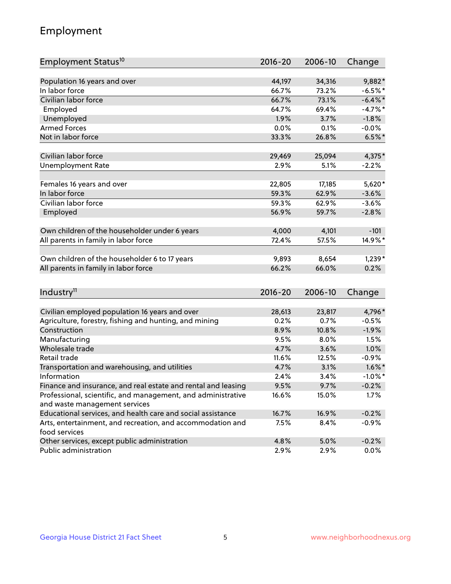## Employment

| Employment Status <sup>10</sup>                                                               | $2016 - 20$  | 2006-10      | Change       |
|-----------------------------------------------------------------------------------------------|--------------|--------------|--------------|
|                                                                                               |              |              |              |
| Population 16 years and over<br>In labor force                                                | 44,197       | 34,316       | 9,882*       |
|                                                                                               | 66.7%        | 73.2%        | $-6.5%$ *    |
| Civilian labor force                                                                          | 66.7%        | 73.1%        | $-6.4\%$ *   |
| Employed                                                                                      | 64.7%        | 69.4%        | $-4.7%$ *    |
| Unemployed                                                                                    | 1.9%         | 3.7%         | $-1.8%$      |
| <b>Armed Forces</b>                                                                           | 0.0%         | 0.1%         | $-0.0%$      |
| Not in labor force                                                                            | 33.3%        | 26.8%        | $6.5%$ *     |
| Civilian labor force                                                                          | 29,469       | 25,094       | 4,375*       |
| <b>Unemployment Rate</b>                                                                      | 2.9%         | 5.1%         | $-2.2%$      |
|                                                                                               |              |              |              |
| Females 16 years and over                                                                     | 22,805       | 17,185       | $5,620*$     |
| In labor force                                                                                | 59.3%        | 62.9%        | $-3.6%$      |
| Civilian labor force                                                                          | 59.3%        | 62.9%        | $-3.6%$      |
| Employed                                                                                      | 56.9%        | 59.7%        | $-2.8%$      |
| Own children of the householder under 6 years                                                 | 4,000        | 4,101        | $-101$       |
| All parents in family in labor force                                                          | 72.4%        | 57.5%        | 14.9%*       |
|                                                                                               |              |              |              |
| Own children of the householder 6 to 17 years                                                 | 9,893        | 8,654        | $1,239*$     |
| All parents in family in labor force                                                          | 66.2%        | 66.0%        | 0.2%         |
|                                                                                               |              |              |              |
| Industry <sup>11</sup>                                                                        | $2016 - 20$  | 2006-10      | Change       |
|                                                                                               |              |              |              |
| Civilian employed population 16 years and over                                                | 28,613       | 23,817       | 4,796*       |
| Agriculture, forestry, fishing and hunting, and mining                                        | 0.2%         | 0.7%         | $-0.5%$      |
| Construction                                                                                  | 8.9%         | 10.8%        | $-1.9%$      |
| Manufacturing<br>Wholesale trade                                                              | 9.5%<br>4.7% | 8.0%<br>3.6% | 1.5%<br>1.0% |
| Retail trade                                                                                  |              |              |              |
|                                                                                               | 11.6%        | 12.5%        | $-0.9%$      |
| Transportation and warehousing, and utilities                                                 | 4.7%         | 3.1%         | $1.6\%$ *    |
| Information                                                                                   | 2.4%         | 3.4%         | $-1.0\%$ *   |
| Finance and insurance, and real estate and rental and leasing                                 | 9.5%         | 9.7%         | $-0.2%$      |
| Professional, scientific, and management, and administrative<br>and waste management services | 16.6%        | 15.0%        | 1.7%         |
| Educational services, and health care and social assistance                                   | 16.7%        | 16.9%        | $-0.2%$      |
| Arts, entertainment, and recreation, and accommodation and                                    | 7.5%         | 8.4%         | $-0.9%$      |
| food services                                                                                 |              |              |              |
| Other services, except public administration                                                  | 4.8%         | 5.0%         | $-0.2%$      |
| Public administration                                                                         | 2.9%         | 2.9%         | 0.0%         |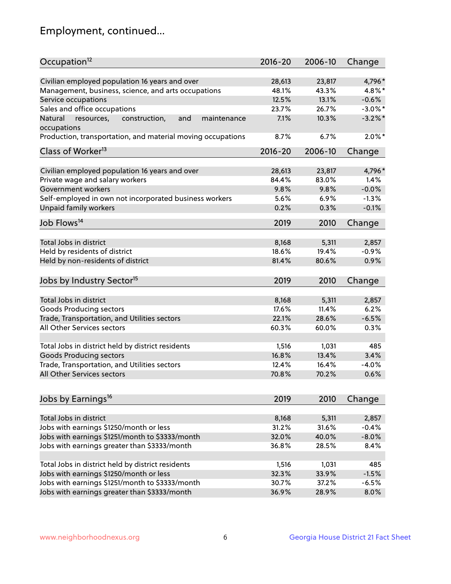## Employment, continued...

| Occupation <sup>12</sup>                                                    | $2016 - 20$ | 2006-10 | Change     |
|-----------------------------------------------------------------------------|-------------|---------|------------|
| Civilian employed population 16 years and over                              | 28,613      | 23,817  | 4,796*     |
| Management, business, science, and arts occupations                         | 48.1%       | 43.3%   | 4.8%*      |
| Service occupations                                                         | 12.5%       | 13.1%   | $-0.6%$    |
| Sales and office occupations                                                | 23.7%       | 26.7%   | $-3.0\%$ * |
|                                                                             | 7.1%        |         | $-3.2\%$ * |
| Natural<br>and<br>resources,<br>construction,<br>maintenance<br>occupations |             | 10.3%   |            |
| Production, transportation, and material moving occupations                 | 8.7%        | 6.7%    | $2.0\%$ *  |
| Class of Worker <sup>13</sup>                                               | $2016 - 20$ | 2006-10 | Change     |
| Civilian employed population 16 years and over                              | 28,613      | 23,817  | 4,796*     |
| Private wage and salary workers                                             | 84.4%       | 83.0%   | 1.4%       |
| Government workers                                                          | 9.8%        | 9.8%    | $-0.0%$    |
| Self-employed in own not incorporated business workers                      | 5.6%        | 6.9%    | $-1.3%$    |
| Unpaid family workers                                                       | 0.2%        | 0.3%    | $-0.1%$    |
|                                                                             |             |         |            |
| Job Flows <sup>14</sup>                                                     | 2019        | 2010    | Change     |
| Total Jobs in district                                                      | 8,168       | 5,311   | 2,857      |
| Held by residents of district                                               | 18.6%       | 19.4%   | $-0.9%$    |
|                                                                             |             | 80.6%   | 0.9%       |
| Held by non-residents of district                                           | 81.4%       |         |            |
| Jobs by Industry Sector <sup>15</sup>                                       | 2019        | 2010    | Change     |
|                                                                             |             |         |            |
| Total Jobs in district                                                      | 8,168       | 5,311   | 2,857      |
| Goods Producing sectors                                                     | 17.6%       | 11.4%   | 6.2%       |
| Trade, Transportation, and Utilities sectors                                | 22.1%       | 28.6%   | $-6.5%$    |
| All Other Services sectors                                                  | 60.3%       | 60.0%   | 0.3%       |
| Total Jobs in district held by district residents                           | 1,516       | 1,031   | 485        |
| <b>Goods Producing sectors</b>                                              | 16.8%       | 13.4%   | 3.4%       |
| Trade, Transportation, and Utilities sectors                                | 12.4%       | 16.4%   | $-4.0%$    |
| All Other Services sectors                                                  | 70.8%       | 70.2%   | 0.6%       |
|                                                                             |             |         |            |
| Jobs by Earnings <sup>16</sup>                                              | 2019        | 2010    | Change     |
|                                                                             |             |         |            |
| Total Jobs in district                                                      | 8,168       | 5,311   | 2,857      |
| Jobs with earnings \$1250/month or less                                     | 31.2%       | 31.6%   | $-0.4%$    |
| Jobs with earnings \$1251/month to \$3333/month                             | 32.0%       | 40.0%   | $-8.0%$    |
| Jobs with earnings greater than \$3333/month                                | 36.8%       | 28.5%   | 8.4%       |
| Total Jobs in district held by district residents                           | 1,516       | 1,031   | 485        |
| Jobs with earnings \$1250/month or less                                     | 32.3%       | 33.9%   | $-1.5%$    |
| Jobs with earnings \$1251/month to \$3333/month                             | 30.7%       | 37.2%   | $-6.5%$    |
| Jobs with earnings greater than \$3333/month                                | 36.9%       | 28.9%   | 8.0%       |
|                                                                             |             |         |            |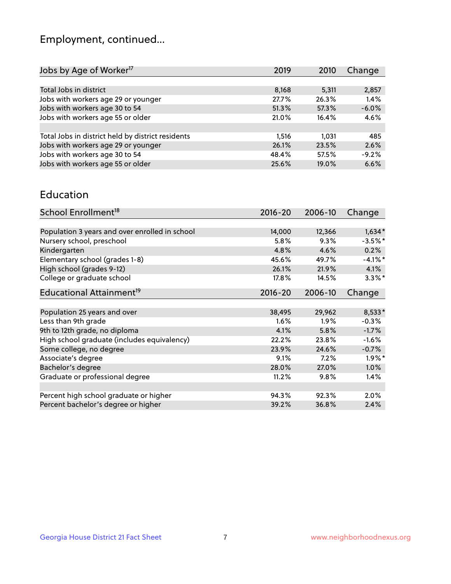## Employment, continued...

| 2019  | 2010                                               | Change  |
|-------|----------------------------------------------------|---------|
|       |                                                    |         |
| 8,168 | 5,311                                              | 2,857   |
|       | 26.3%                                              | 1.4%    |
|       | 57.3%                                              | $-6.0%$ |
|       | 16.4%                                              | 4.6%    |
|       |                                                    |         |
| 1,516 | 1.031                                              | 485     |
|       | 23.5%                                              | 2.6%    |
|       | 57.5%                                              | $-9.2%$ |
|       | 19.0%                                              | 6.6%    |
|       | 27.7%<br>51.3%<br>21.0%<br>26.1%<br>48.4%<br>25.6% |         |

#### Education

| School Enrollment <sup>18</sup>                | $2016 - 20$ | 2006-10 | Change     |
|------------------------------------------------|-------------|---------|------------|
|                                                |             |         |            |
| Population 3 years and over enrolled in school | 14,000      | 12,366  | $1,634*$   |
| Nursery school, preschool                      | 5.8%        | 9.3%    | $-3.5%$ *  |
| Kindergarten                                   | 4.8%        | 4.6%    | 0.2%       |
| Elementary school (grades 1-8)                 | 45.6%       | 49.7%   | $-4.1\%$ * |
| High school (grades 9-12)                      | 26.1%       | 21.9%   | 4.1%       |
| College or graduate school                     | 17.8%       | 14.5%   | $3.3\%$ *  |
| Educational Attainment <sup>19</sup>           | $2016 - 20$ | 2006-10 | Change     |
|                                                |             |         |            |
| Population 25 years and over                   | 38,495      | 29,962  | 8,533*     |
| Less than 9th grade                            | 1.6%        | $1.9\%$ | $-0.3%$    |
| 9th to 12th grade, no diploma                  | 4.1%        | 5.8%    | $-1.7%$    |
| High school graduate (includes equivalency)    | 22.2%       | 23.8%   | $-1.6%$    |
| Some college, no degree                        | 23.9%       | 24.6%   | $-0.7%$    |
| Associate's degree                             | 9.1%        | 7.2%    | $1.9\%$ *  |
| Bachelor's degree                              | 28.0%       | 27.0%   | 1.0%       |
| Graduate or professional degree                | 11.2%       | 9.8%    | 1.4%       |
|                                                |             |         |            |
| Percent high school graduate or higher         | 94.3%       | 92.3%   | $2.0\%$    |
| Percent bachelor's degree or higher            | 39.2%       | 36.8%   | 2.4%       |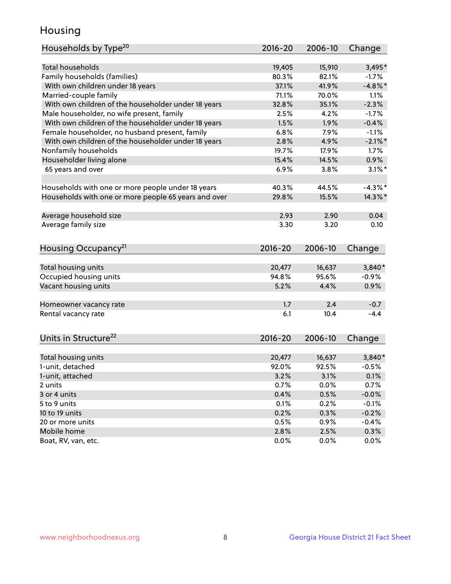## Housing

| Households by Type <sup>20</sup>                     | 2016-20         | 2006-10         | Change     |
|------------------------------------------------------|-----------------|-----------------|------------|
|                                                      |                 |                 |            |
| <b>Total households</b>                              | 19,405          | 15,910          | $3,495*$   |
| Family households (families)                         | 80.3%           | 82.1%           | $-1.7%$    |
| With own children under 18 years                     | 37.1%           | 41.9%           | $-4.8\%$ * |
| Married-couple family                                | 71.1%           | 70.0%           | 1.1%       |
| With own children of the householder under 18 years  | 32.8%           | 35.1%           | $-2.3%$    |
| Male householder, no wife present, family            | 2.5%            | 4.2%            | $-1.7%$    |
| With own children of the householder under 18 years  | 1.5%            | 1.9%            | $-0.4%$    |
| Female householder, no husband present, family       | 6.8%            | 7.9%            | $-1.1%$    |
| With own children of the householder under 18 years  | 2.8%            | 4.9%            | $-2.1\%$ * |
| Nonfamily households                                 | 19.7%           | 17.9%           | $1.7\%$    |
| Householder living alone                             | 15.4%           | 14.5%           | 0.9%       |
| 65 years and over                                    | 6.9%            | 3.8%            | $3.1\%$ *  |
|                                                      |                 |                 |            |
| Households with one or more people under 18 years    | 40.3%           | 44.5%           | $-4.3\%$ * |
| Households with one or more people 65 years and over | 29.8%           | 15.5%           | 14.3%*     |
|                                                      |                 |                 |            |
| Average household size                               | 2.93            | 2.90            | 0.04       |
| Average family size                                  | 3.30            | 3.20            | 0.10       |
|                                                      |                 |                 |            |
| Housing Occupancy <sup>21</sup>                      | $2016 - 20$     | 2006-10         | Change     |
|                                                      |                 |                 |            |
| Total housing units                                  | 20,477          | 16,637          | 3,840*     |
| Occupied housing units                               | 94.8%           | 95.6%           | $-0.9%$    |
| Vacant housing units                                 | 5.2%            | 4.4%            | 0.9%       |
|                                                      |                 |                 |            |
| Homeowner vacancy rate                               | 1.7             | 2.4             | $-0.7$     |
| Rental vacancy rate                                  | 6.1             | 10.4            | $-4.4$     |
|                                                      |                 |                 |            |
|                                                      |                 |                 |            |
| Units in Structure <sup>22</sup>                     | $2016 - 20$     | 2006-10         | Change     |
|                                                      |                 |                 | $3,840*$   |
| Total housing units<br>1-unit, detached              | 20,477<br>92.0% | 16,637<br>92.5% | $-0.5%$    |
|                                                      |                 |                 |            |
| 1-unit, attached                                     | 3.2%            | 3.1%            | 0.1%       |
| 2 units                                              | 0.7%            | 0.0%            | 0.7%       |
| 3 or 4 units                                         | 0.4%            | 0.5%            | $-0.0%$    |
| 5 to 9 units                                         | 0.1%            | 0.2%            | $-0.1%$    |
| 10 to 19 units                                       | 0.2%            | 0.3%            | $-0.2%$    |
| 20 or more units                                     | 0.5%            | 0.9%            | $-0.4%$    |
| Mobile home                                          | 2.8%            | 2.5%            | 0.3%       |
| Boat, RV, van, etc.                                  | 0.0%            | 0.0%            | 0.0%       |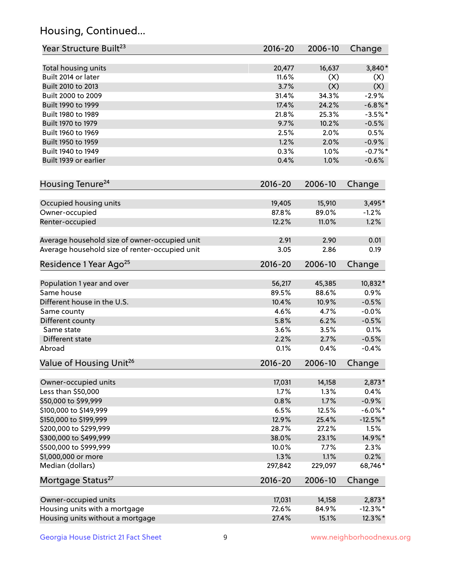## Housing, Continued...

| Year Structure Built <sup>23</sup>             | 2016-20         | 2006-10         | Change              |
|------------------------------------------------|-----------------|-----------------|---------------------|
| Total housing units                            | 20,477          | 16,637          | $3,840*$            |
| Built 2014 or later                            | 11.6%           | (X)             | (X)                 |
| Built 2010 to 2013                             | 3.7%            | (X)             | (X)                 |
| Built 2000 to 2009                             | 31.4%           | 34.3%           | $-2.9%$             |
| Built 1990 to 1999                             | 17.4%           | 24.2%           | $-6.8\%$ *          |
| Built 1980 to 1989                             | 21.8%           | 25.3%           | $-3.5%$ *           |
| Built 1970 to 1979                             | 9.7%            | 10.2%           | $-0.5%$             |
| Built 1960 to 1969                             | 2.5%            | 2.0%            | 0.5%                |
| Built 1950 to 1959                             | 1.2%            | 2.0%            | $-0.9%$             |
| Built 1940 to 1949                             | 0.3%            | 1.0%            | $-0.7%$ *           |
| Built 1939 or earlier                          | 0.4%            | 1.0%            | $-0.6%$             |
| Housing Tenure <sup>24</sup>                   | $2016 - 20$     | 2006-10         | Change              |
|                                                |                 |                 |                     |
| Occupied housing units                         | 19,405<br>87.8% | 15,910<br>89.0% | $3,495*$<br>$-1.2%$ |
| Owner-occupied<br>Renter-occupied              | 12.2%           | 11.0%           | 1.2%                |
|                                                |                 |                 |                     |
| Average household size of owner-occupied unit  | 2.91            | 2.90            | 0.01                |
| Average household size of renter-occupied unit | 3.05            | 2.86            | 0.19                |
| Residence 1 Year Ago <sup>25</sup>             | $2016 - 20$     | 2006-10         | Change              |
| Population 1 year and over                     | 56,217          | 45,385          | 10,832*             |
| Same house                                     | 89.5%           | 88.6%           | 0.9%                |
| Different house in the U.S.                    | 10.4%           | 10.9%           | $-0.5%$             |
| Same county                                    | 4.6%            | 4.7%            | $-0.0%$             |
| Different county                               | 5.8%            | 6.2%            | $-0.5%$             |
| Same state                                     | 3.6%            | 3.5%            | 0.1%                |
| Different state                                | 2.2%            | 2.7%            | $-0.5%$             |
| Abroad                                         | 0.1%            | 0.4%            | $-0.4%$             |
| Value of Housing Unit <sup>26</sup>            | $2016 - 20$     | 2006-10         | Change              |
|                                                |                 |                 |                     |
| Owner-occupied units                           | 17,031          | 14,158          | 2,873*              |
| Less than \$50,000                             | 1.7%            | 1.3%            | 0.4%                |
| \$50,000 to \$99,999                           | 0.8%            | 1.7%            | $-0.9%$             |
| \$100,000 to \$149,999                         | 6.5%            | 12.5%           | $-6.0\%$ *          |
| \$150,000 to \$199,999                         | 12.9%           | 25.4%           | $-12.5%$ *          |
| \$200,000 to \$299,999                         | 28.7%           | 27.2%           | 1.5%                |
| \$300,000 to \$499,999                         | 38.0%           | 23.1%           | 14.9%*              |
| \$500,000 to \$999,999                         | 10.0%           | 7.7%<br>1.1%    | 2.3%<br>0.2%        |
| \$1,000,000 or more<br>Median (dollars)        | 1.3%<br>297,842 | 229,097         | 68,746*             |
|                                                |                 |                 |                     |
| Mortgage Status <sup>27</sup>                  | $2016 - 20$     | 2006-10         | Change              |
| Owner-occupied units                           | 17,031          | 14,158          | 2,873*              |
| Housing units with a mortgage                  | 72.6%           | 84.9%           | $-12.3\%$ *         |
| Housing units without a mortgage               | 27.4%           | 15.1%           | 12.3%*              |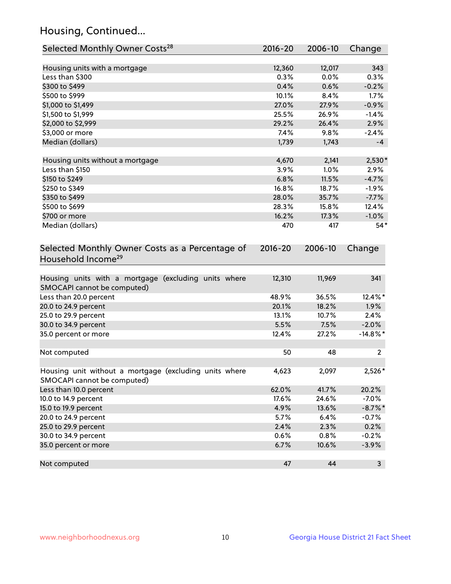## Housing, Continued...

| Selected Monthly Owner Costs <sup>28</sup>                                            | 2016-20       | 2006-10       | Change         |
|---------------------------------------------------------------------------------------|---------------|---------------|----------------|
| Housing units with a mortgage                                                         | 12,360        | 12,017        | 343            |
| Less than \$300                                                                       | 0.3%          | 0.0%          | 0.3%           |
| \$300 to \$499                                                                        | 0.4%          | 0.6%          | $-0.2%$        |
| \$500 to \$999                                                                        | 10.1%         | 8.4%          | 1.7%           |
| \$1,000 to \$1,499                                                                    | 27.0%         | 27.9%         | $-0.9%$        |
| \$1,500 to \$1,999                                                                    | 25.5%         | 26.9%         | $-1.4%$        |
| \$2,000 to \$2,999                                                                    | 29.2%         | 26.4%         | 2.9%           |
| \$3,000 or more                                                                       | 7.4%          | 9.8%          | $-2.4%$        |
| Median (dollars)                                                                      | 1,739         | 1,743         | $-4$           |
|                                                                                       |               |               |                |
| Housing units without a mortgage<br>Less than \$150                                   | 4,670<br>3.9% | 2,141<br>1.0% | 2,530*<br>2.9% |
| \$150 to \$249                                                                        | 6.8%          | 11.5%         | $-4.7%$        |
| \$250 to \$349                                                                        | 16.8%         | 18.7%         | $-1.9%$        |
| \$350 to \$499                                                                        | 28.0%         | 35.7%         | $-7.7%$        |
| \$500 to \$699                                                                        | 28.3%         | 15.8%         | 12.4%          |
| \$700 or more                                                                         | 16.2%         | 17.3%         | $-1.0%$        |
| Median (dollars)                                                                      | 470           | 417           | $54*$          |
|                                                                                       |               |               |                |
| Selected Monthly Owner Costs as a Percentage of<br>Household Income <sup>29</sup>     | $2016 - 20$   | 2006-10       | Change         |
| Housing units with a mortgage (excluding units where<br>SMOCAPI cannot be computed)   | 12,310        | 11,969        | 341            |
| Less than 20.0 percent                                                                | 48.9%         | 36.5%         | 12.4%*         |
| 20.0 to 24.9 percent                                                                  | 20.1%         | 18.2%         | 1.9%           |
| 25.0 to 29.9 percent                                                                  | 13.1%         | 10.7%         | 2.4%           |
| 30.0 to 34.9 percent                                                                  | 5.5%          | 7.5%          | $-2.0%$        |
| 35.0 percent or more                                                                  | 12.4%         | 27.2%         | $-14.8\%$ *    |
| Not computed                                                                          | 50            | 48            | 2              |
| Housing unit without a mortgage (excluding units where<br>SMOCAPI cannot be computed) | 4,623         | 2,097         | 2,526*         |
| Less than 10.0 percent                                                                | 62.0%         | 41.7%         | 20.2%          |
| 10.0 to 14.9 percent                                                                  | 17.6%         | 24.6%         | $-7.0%$        |
| 15.0 to 19.9 percent                                                                  | 4.9%          | 13.6%         | $-8.7\%$ *     |
| 20.0 to 24.9 percent                                                                  | 5.7%          | 6.4%          | $-0.7%$        |
| 25.0 to 29.9 percent                                                                  | 2.4%          | 2.3%          | 0.2%           |
| 30.0 to 34.9 percent                                                                  | 0.6%          | 0.8%          | $-0.2%$        |
| 35.0 percent or more                                                                  | 6.7%          | 10.6%         | $-3.9%$        |
| Not computed                                                                          | 47            | 44            | $\mathbf{3}$   |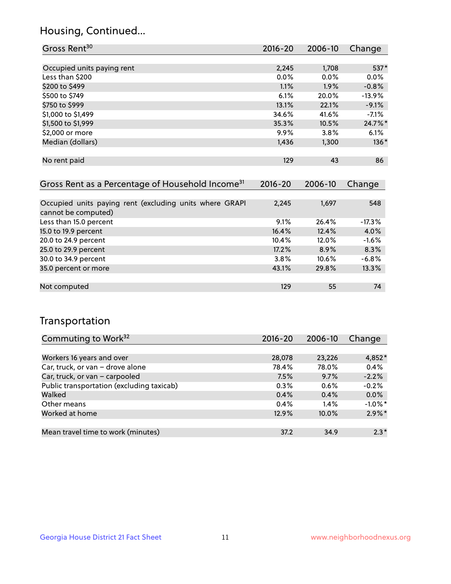### Housing, Continued...

| Gross Rent <sup>30</sup>                                     | 2016-20     | 2006-10     | Change    |
|--------------------------------------------------------------|-------------|-------------|-----------|
|                                                              |             |             |           |
| Occupied units paying rent                                   | 2,245       | 1,708       | 537*      |
| Less than \$200                                              | 0.0%        | $0.0\%$     | $0.0\%$   |
| \$200 to \$499                                               | 1.1%        | 1.9%        | $-0.8%$   |
| \$500 to \$749                                               | 6.1%        | 20.0%       | $-13.9\%$ |
| \$750 to \$999                                               | 13.1%       | 22.1%       | $-9.1%$   |
| \$1,000 to \$1,499                                           | 34.6%       | 41.6%       | $-7.1%$   |
| \$1,500 to \$1,999                                           | 35.3%       | 10.5%       | 24.7%*    |
| \$2,000 or more                                              | 9.9%        | 3.8%        | 6.1%      |
| Median (dollars)                                             | 1,436       | 1,300       | $136*$    |
|                                                              |             |             |           |
| No rent paid                                                 | 129         | 43          | 86        |
|                                                              |             |             |           |
| Gross Rent as a Percentage of Household Income <sup>31</sup> | $2016 - 20$ | $2006 - 10$ | Change    |

| <b>Prossiliant de directituge of Housenoid Income</b>   | LVIV LV | <b>LVVV</b> 19 | 11111    |
|---------------------------------------------------------|---------|----------------|----------|
|                                                         |         |                |          |
| Occupied units paying rent (excluding units where GRAPI | 2,245   | 1,697          | 548      |
| cannot be computed)                                     |         |                |          |
| Less than 15.0 percent                                  | 9.1%    | 26.4%          | $-17.3%$ |
| 15.0 to 19.9 percent                                    | 16.4%   | 12.4%          | 4.0%     |
| 20.0 to 24.9 percent                                    | 10.4%   | 12.0%          | $-1.6%$  |
| 25.0 to 29.9 percent                                    | 17.2%   | 8.9%           | 8.3%     |
| 30.0 to 34.9 percent                                    | 3.8%    | $10.6\%$       | $-6.8%$  |
| 35.0 percent or more                                    | 43.1%   | 29.8%          | 13.3%    |
|                                                         |         |                |          |
| Not computed                                            | 129     | 55             | 74       |

### Transportation

| Commuting to Work <sup>32</sup>           | 2016-20 | 2006-10 | Change     |
|-------------------------------------------|---------|---------|------------|
|                                           |         |         |            |
| Workers 16 years and over                 | 28,078  | 23,226  | $4,852*$   |
| Car, truck, or van - drove alone          | 78.4%   | 78.0%   | 0.4%       |
| Car, truck, or van - carpooled            | 7.5%    | 9.7%    | $-2.2%$    |
| Public transportation (excluding taxicab) | 0.3%    | 0.6%    | $-0.2%$    |
| Walked                                    | 0.4%    | 0.4%    | 0.0%       |
| Other means                               | 0.4%    | $1.4\%$ | $-1.0\%$ * |
| Worked at home                            | 12.9%   | 10.0%   | $2.9\%$ *  |
|                                           |         |         |            |
| Mean travel time to work (minutes)        | 37.2    | 34.9    | $2.3*$     |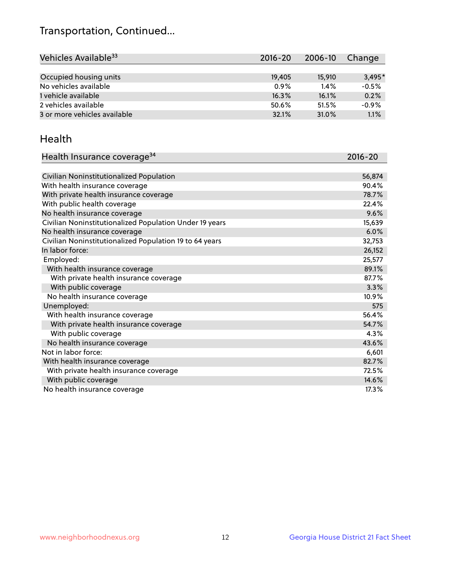## Transportation, Continued...

| Vehicles Available <sup>33</sup> | $2016 - 20$ | 2006-10 | Change   |
|----------------------------------|-------------|---------|----------|
|                                  |             |         |          |
| Occupied housing units           | 19,405      | 15,910  | $3.495*$ |
| No vehicles available            | 0.9%        | 1.4%    | $-0.5%$  |
| 1 vehicle available              | 16.3%       | 16.1%   | 0.2%     |
| 2 vehicles available             | 50.6%       | 51.5%   | $-0.9%$  |
| 3 or more vehicles available     | 32.1%       | 31.0%   | 1.1%     |

#### Health

| Health Insurance coverage <sup>34</sup>                 | 2016-20 |
|---------------------------------------------------------|---------|
|                                                         |         |
| Civilian Noninstitutionalized Population                | 56,874  |
| With health insurance coverage                          | 90.4%   |
| With private health insurance coverage                  | 78.7%   |
| With public health coverage                             | 22.4%   |
| No health insurance coverage                            | 9.6%    |
| Civilian Noninstitutionalized Population Under 19 years | 15,639  |
| No health insurance coverage                            | 6.0%    |
| Civilian Noninstitutionalized Population 19 to 64 years | 32,753  |
| In labor force:                                         | 26,152  |
| Employed:                                               | 25,577  |
| With health insurance coverage                          | 89.1%   |
| With private health insurance coverage                  | 87.7%   |
| With public coverage                                    | 3.3%    |
| No health insurance coverage                            | 10.9%   |
| Unemployed:                                             | 575     |
| With health insurance coverage                          | 56.4%   |
| With private health insurance coverage                  | 54.7%   |
| With public coverage                                    | 4.3%    |
| No health insurance coverage                            | 43.6%   |
| Not in labor force:                                     | 6,601   |
| With health insurance coverage                          | 82.7%   |
| With private health insurance coverage                  | 72.5%   |
| With public coverage                                    | 14.6%   |
| No health insurance coverage                            | 17.3%   |